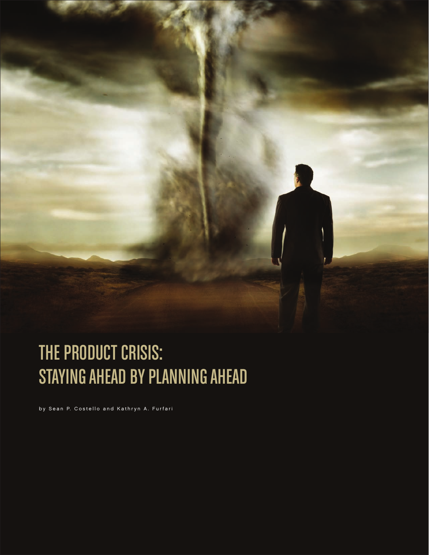

# The Product Crisis: STAYING AHEAD BY PLANNING AHEAD

by Sean P. Costello and Kathryn A. Furfari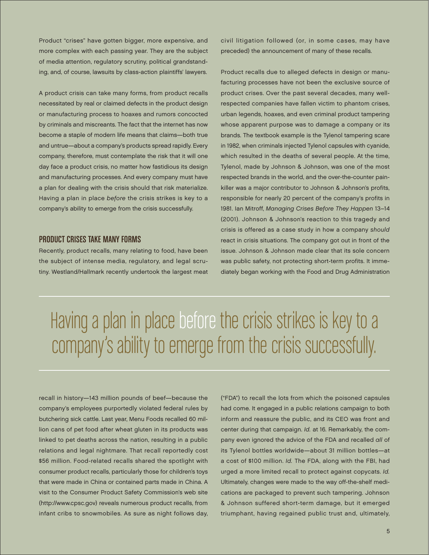Product "crises" have gotten bigger, more expensive, and more complex with each passing year. They are the subject of media attention, regulatory scrutiny, political grandstanding, and, of course, lawsuits by class-action plaintiffs' lawyers.

A product crisis can take many forms, from product recalls necessitated by real or claimed defects in the product design or manufacturing process to hoaxes and rumors concocted by criminals and miscreants. The fact that the internet has now become a staple of modern life means that claims—both true and untrue—about a company's products spread rapidly. Every company, therefore, must contemplate the risk that it will one day face a product crisis, no matter how fastidious its design and manufacturing processes. And every company must have a plan for dealing with the crisis should that risk materialize. Having a plan in place before the crisis strikes is key to a company's ability to emerge from the crisis successfully.

#### Product Crises Take Many Forms

Recently, product recalls, many relating to food, have been the subject of intense media, regulatory, and legal scrutiny. Westland/Hallmark recently undertook the largest meat civil litigation followed (or, in some cases, may have preceded) the announcement of many of these recalls.

Product recalls due to alleged defects in design or manufacturing processes have not been the exclusive source of product crises. Over the past several decades, many wellrespected companies have fallen victim to phantom crises, urban legends, hoaxes, and even criminal product tampering whose apparent purpose was to damage a company or its brands. The textbook example is the Tylenol tampering scare in 1982, when criminals injected Tylenol capsules with cyanide, which resulted in the deaths of several people. At the time, Tylenol, made by Johnson & Johnson, was one of the most respected brands in the world, and the over-the-counter painkiller was a major contributor to Johnson & Johnson's profits, responsible for nearly 20 percent of the company's profits in 1981. Ian Mitroff, Managing Crises Before They Happen 13–14 (2001). Johnson & Johnson's reaction to this tragedy and crisis is offered as a case study in how a company should react in crisis situations. The company got out in front of the issue. Johnson & Johnson made clear that its sole concern was public safety, not protecting short-term profits. It immediately began working with the Food and Drug Administration

# Having a plan in place before the crisis strikes is key to a company's ability to emerge from the crisis successfully.

recall in history—143 million pounds of beef—because the company's employees purportedly violated federal rules by butchering sick cattle. Last year, Menu Foods recalled 60 million cans of pet food after wheat gluten in its products was linked to pet deaths across the nation, resulting in a public relations and legal nightmare. That recall reportedly cost \$56 million. Food-related recalls shared the spotlight with consumer product recalls, particularly those for children's toys that were made in China or contained parts made in China. A visit to the Consumer Product Safety Commission's web site (http://www.cpsc.gov) reveals numerous product recalls, from infant cribs to snowmobiles. As sure as night follows day,

("FDA") to recall the lots from which the poisoned capsules had come. It engaged in a public relations campaign to both inform and reassure the public, and its CEO was front and center during that campaign. Id. at 16. Remarkably, the company even ignored the advice of the FDA and recalled all of its Tylenol bottles worldwide—about 31 million bottles—at a cost of \$100 million. Id. The FDA, along with the FBI, had urged a more limited recall to protect against copycats. Id. Ultimately, changes were made to the way off-the-shelf medications are packaged to prevent such tampering. Johnson & Johnson suffered short-term damage, but it emerged triumphant, having regained public trust and, ultimately,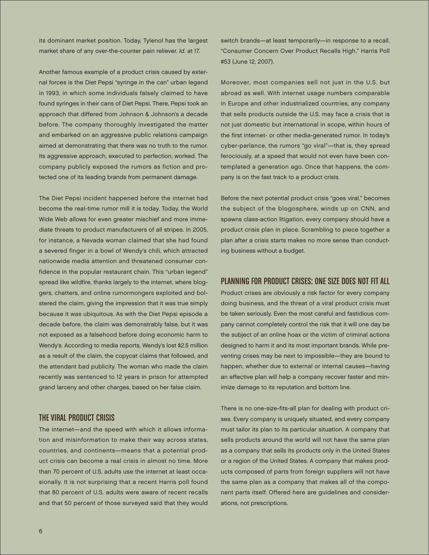its dominant market position. Today, Tylenol has the largest market share of any over-the-counter pain reliever. Id. at 17.

Another famous example of a product crisis caused by external forces is the Diet Pepsi "syringe in the can" urban legend in 1993, in which some individuals falsely claimed to have found syringes in their cans of Diet Pepsi. There, Pepsi took an approach that differed from Johnson & Johnson's a decade before. The company thoroughly investigated the matter and embarked on an aggressive public relations campaign aimed at demonstrating that there was no truth to the rumor. Its aggressive approach, executed to perfection, worked. The company publicly exposed the rumors as fiction and protected one of its leading brands from permanent damage.

The Diet Pepsi incident happened before the internet had become the real-time rumor mill it is today. Today, the World Wide Web allows for even greater mischief and more immediate threats to product manufacturers of all stripes. In 2005, for instance, a Nevada woman claimed that she had found a severed finger in a bowl of Wendy's chili, which attracted nationwide media attention and threatened consumer confidence in the popular restaurant chain. This "urban legend" spread like wildfire, thanks largely to the internet, where bloggers, chatters, and online rumormongers exploited and bolstered the claim, giving the impression that it was true simply because it was ubiquitous. As with the Diet Pepsi episode a decade before, the claim was demonstrably false, but it was not exposed as a falsehood before doing economic harm to Wendy's. According to media reports, Wendy's lost \$2.5 million as a result of the claim, the copycat claims that followed, and the attendant bad publicity. The woman who made the claim recently was sentenced to 12 years in prison for attempted grand larceny and other charges, based on her false claim.

#### The Viral Product Crisis

The internet—and the speed with which it allows information and misinformation to make their way across states, countries, and continents—means that a potential product crisis can become a real crisis in almost no time. More than 70 percent of U.S. adults use the internet at least occasionally. It is not surprising that a recent Harris poll found that 80 percent of U.S. adults were aware of recent recalls and that 50 percent of those surveyed said that they would

switch brands—at least temporarily—in response to a recall. "Consumer Concern Over Product Recalls High," Harris Poll #53 (June 12, 2007).

Moreover, most companies sell not just in the U.S. but abroad as well. With internet usage numbers comparable in Europe and other industrialized countries, any company that sells products outside the U.S. may face a crisis that is not just domestic but international in scope, within hours of the first internet- or other media-generated rumor. In today's cyber-parlance, the rumors "go viral"—that is, they spread ferociously, at a speed that would not even have been contemplated a generation ago. Once that happens, the company is on the fast track to a product crisis.

Before the next potential product crisis "goes viral," becomes the subject of the blogosphere, winds up on CNN, and spawns class-action litigation, every company should have a product crisis plan in place. Scrambling to piece together a plan after a crisis starts makes no more sense than conducting business without a budget.

## Planning for Product Crises: One Size Does Not Fit All

Product crises are obviously a risk factor for every company doing business, and the threat of a viral product crisis must be taken seriously. Even the most careful and fastidious company cannot completely control the risk that it will one day be the subject of an online hoax or the victim of criminal actions designed to harm it and its most important brands. While preventing crises may be next to impossible—they are bound to happen, whether due to external or internal causes—having an effective plan will help a company recover faster and minimize damage to its reputation and bottom line.

There is no one-size-fits-all plan for dealing with product crises. Every company is uniquely situated, and every company must tailor its plan to its particular situation. A company that sells products around the world will not have the same plan as a company that sells its products only in the United States or a region of the United States. A company that makes products composed of parts from foreign suppliers will not have the same plan as a company that makes all of the component parts itself. Offered here are guidelines and considerations, not prescriptions.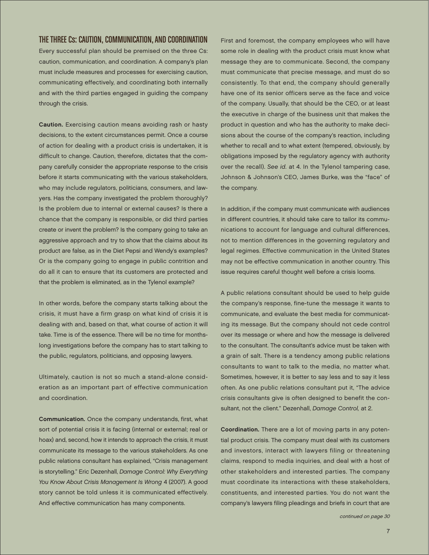# The Three Cs: Caution, Communication, and Coordination

Every successful plan should be premised on the three Cs: caution, communication, and coordination. A company's plan must include measures and processes for exercising caution, communicating effectively, and coordinating both internally and with the third parties engaged in guiding the company through the crisis.

Caution. Exercising caution means avoiding rash or hasty decisions, to the extent circumstances permit. Once a course of action for dealing with a product crisis is undertaken, it is difficult to change. Caution, therefore, dictates that the company carefully consider the appropriate response to the crisis before it starts communicating with the various stakeholders, who may include regulators, politicians, consumers, and lawyers. Has the company investigated the problem thoroughly? Is the problem due to internal or external causes? Is there a chance that the company is responsible, or did third parties create or invent the problem? Is the company going to take an aggressive approach and try to show that the claims about its product are false, as in the Diet Pepsi and Wendy's examples? Or is the company going to engage in public contrition and do all it can to ensure that its customers are protected and that the problem is eliminated, as in the Tylenol example?

In other words, before the company starts talking about the crisis, it must have a firm grasp on what kind of crisis it is dealing with and, based on that, what course of action it will take. Time is of the essence. There will be no time for monthslong investigations before the company has to start talking to the public, regulators, politicians, and opposing lawyers.

Ultimately, caution is not so much a stand-alone consideration as an important part of effective communication and coordination.

Communication. Once the company understands, first, what sort of potential crisis it is facing (internal or external; real or hoax) and, second, how it intends to approach the crisis, it must communicate its message to the various stakeholders. As one public relations consultant has explained, "Crisis management is storytelling." Eric Dezenhall, Damage Control: Why Everything You Know About Crisis Management Is Wrong 4 (2007). A good story cannot be told unless it is communicated effectively. And effective communication has many components.

First and foremost, the company employees who will have some role in dealing with the product crisis must know what message they are to communicate. Second, the company must communicate that precise message, and must do so consistently. To that end, the company should generally have one of its senior officers serve as the face and voice of the company. Usually, that should be the CEO, or at least the executive in charge of the business unit that makes the product in question and who has the authority to make decisions about the course of the company's reaction, including whether to recall and to what extent (tempered, obviously, by obligations imposed by the regulatory agency with authority over the recall). See id. at 4. In the Tylenol tampering case, Johnson & Johnson's CEO, James Burke, was the "face" of the company.

In addition, if the company must communicate with audiences in different countries, it should take care to tailor its communications to account for language and cultural differences, not to mention differences in the governing regulatory and legal regimes. Effective communication in the United States may not be effective communication in another country. This issue requires careful thought well before a crisis looms.

A public relations consultant should be used to help guide the company's response, fine-tune the message it wants to communicate, and evaluate the best media for communicating its message. But the company should not cede control over its message or where and how the message is delivered to the consultant. The consultant's advice must be taken with a grain of salt. There is a tendency among public relations consultants to want to talk to the media, no matter what. Sometimes, however, it is better to say less and to say it less often. As one public relations consultant put it, "The advice crisis consultants give is often designed to benefit the consultant, not the client." Dezenhall, Damage Control, at 2.

Coordination. There are a lot of moving parts in any potential product crisis. The company must deal with its customers and investors, interact with lawyers filing or threatening claims, respond to media inquiries, and deal with a host of other stakeholders and interested parties. The company must coordinate its interactions with these stakeholders, constituents, and interested parties. You do not want the company's lawyers filing pleadings and briefs in court that are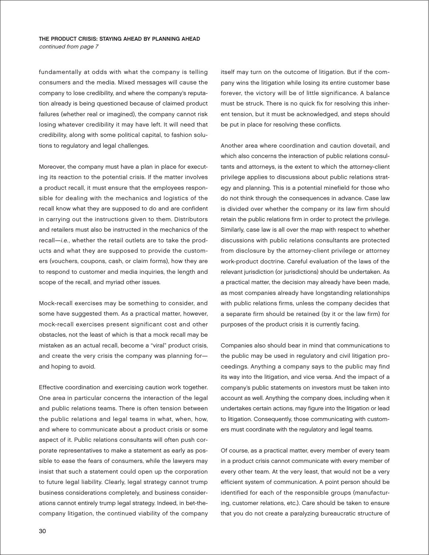#### The Product Crisis: Staying Ahead by Planning Ahead continued from page 7

fundamentally at odds with what the company is telling consumers and the media. Mixed messages will cause the company to lose credibility, and where the company's reputation already is being questioned because of claimed product failures (whether real or imagined), the company cannot risk losing whatever credibility it may have left. It will need that credibility, along with some political capital, to fashion solutions to regulatory and legal challenges.

Moreover, the company must have a plan in place for executing its reaction to the potential crisis. If the matter involves a product recall, it must ensure that the employees responsible for dealing with the mechanics and logistics of the recall know what they are supposed to do and are confident in carrying out the instructions given to them. Distributors and retailers must also be instructed in the mechanics of the recall—i.e., whether the retail outlets are to take the products and what they are supposed to provide the customers (vouchers, coupons, cash, or claim forms), how they are to respond to customer and media inquiries, the length and scope of the recall, and myriad other issues.

Mock-recall exercises may be something to consider, and some have suggested them. As a practical matter, however, mock-recall exercises present significant cost and other obstacles, not the least of which is that a mock recall may be mistaken as an actual recall, become a "viral" product crisis, and create the very crisis the company was planning for and hoping to avoid.

Effective coordination and exercising caution work together. One area in particular concerns the interaction of the legal and public relations teams. There is often tension between the public relations and legal teams in what, when, how, and where to communicate about a product crisis or some aspect of it. Public relations consultants will often push corporate representatives to make a statement as early as possible to ease the fears of consumers, while the lawyers may insist that such a statement could open up the corporation to future legal liability. Clearly, legal strategy cannot trump business considerations completely, and business considerations cannot entirely trump legal strategy. Indeed, in bet-thecompany litigation, the continued viability of the company itself may turn on the outcome of litigation. But if the company wins the litigation while losing its entire customer base forever, the victory will be of little significance. A balance must be struck. There is no quick fix for resolving this inherent tension, but it must be acknowledged, and steps should be put in place for resolving these conflicts.

Another area where coordination and caution dovetail, and which also concerns the interaction of public relations consultants and attorneys, is the extent to which the attorney-client privilege applies to discussions about public relations strategy and planning. This is a potential minefield for those who do not think through the consequences in advance. Case law is divided over whether the company or its law firm should retain the public relations firm in order to protect the privilege. Similarly, case law is all over the map with respect to whether discussions with public relations consultants are protected from disclosure by the attorney-client privilege or attorney work-product doctrine. Careful evaluation of the laws of the relevant jurisdiction (or jurisdictions) should be undertaken. As a practical matter, the decision may already have been made, as most companies already have longstanding relationships with public relations firms, unless the company decides that a separate firm should be retained (by it or the law firm) for purposes of the product crisis it is currently facing.

Companies also should bear in mind that communications to the public may be used in regulatory and civil litigation proceedings. Anything a company says to the public may find its way into the litigation, and vice versa. And the impact of a company's public statements on investors must be taken into account as well. Anything the company does, including when it undertakes certain actions, may figure into the litigation or lead to litigation. Consequently, those communicating with customers must coordinate with the regulatory and legal teams.

Of course, as a practical matter, every member of every team in a product crisis cannot communicate with every member of every other team. At the very least, that would not be a very efficient system of communication. A point person should be identified for each of the responsible groups (manufacturing, customer relations, etc.). Care should be taken to ensure that you do not create a paralyzing bureaucratic structure of